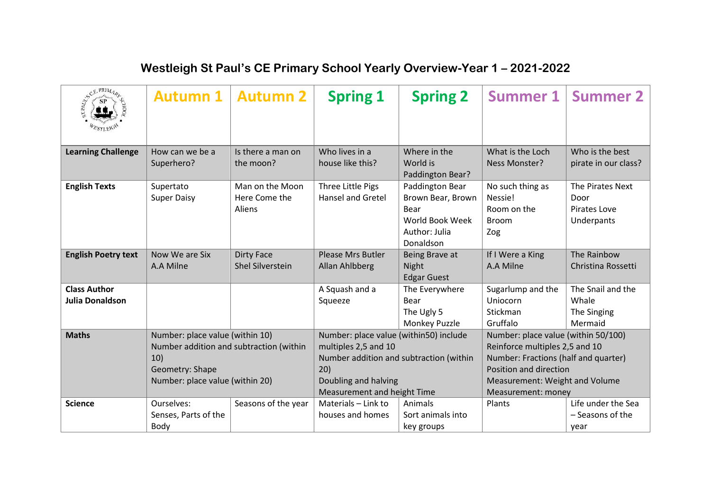| SCEPRIMARY                                    | <b>Autumn 1</b>                                                                                                                         | <b>Autumn 2</b>                              | <b>Spring 1</b>                                                                                                                                                         | <b>Spring 2</b>                                                                                                   | <b>Summer 1</b>                                                                                                                                                                                 | <b>Summer 2</b>                                        |
|-----------------------------------------------|-----------------------------------------------------------------------------------------------------------------------------------------|----------------------------------------------|-------------------------------------------------------------------------------------------------------------------------------------------------------------------------|-------------------------------------------------------------------------------------------------------------------|-------------------------------------------------------------------------------------------------------------------------------------------------------------------------------------------------|--------------------------------------------------------|
| <b>Learning Challenge</b>                     | How can we be a<br>Superhero?                                                                                                           | Is there a man on<br>the moon?               | Who lives in a<br>house like this?                                                                                                                                      | Where in the<br>World is                                                                                          | What is the Loch<br>Ness Monster?                                                                                                                                                               | Who is the best<br>pirate in our class?                |
| <b>English Texts</b>                          | Supertato<br><b>Super Daisy</b>                                                                                                         | Man on the Moon<br>Here Come the<br>Aliens   | Three Little Pigs<br><b>Hansel and Gretel</b>                                                                                                                           | Paddington Bear?<br>Paddington Bear<br>Brown Bear, Brown<br>Bear<br>World Book Week<br>Author: Julia<br>Donaldson | No such thing as<br>Nessie!<br>Room on the<br><b>Broom</b><br>Zog                                                                                                                               | The Pirates Next<br>Door<br>Pirates Love<br>Underpants |
| <b>English Poetry text</b>                    | Now We are Six<br>A.A Milne                                                                                                             | <b>Dirty Face</b><br><b>Shel Silverstein</b> | <b>Please Mrs Butler</b><br>Allan Ahlbberg                                                                                                                              | Being Brave at<br>Night<br><b>Edgar Guest</b>                                                                     | If I Were a King<br>A.A Milne                                                                                                                                                                   | The Rainbow<br>Christina Rossetti                      |
| <b>Class Author</b><br><b>Julia Donaldson</b> |                                                                                                                                         |                                              | A Squash and a<br>Squeeze                                                                                                                                               | The Everywhere<br>Bear<br>The Ugly 5<br>Monkey Puzzle                                                             | Sugarlump and the<br>Uniocorn<br>Stickman<br>Gruffalo                                                                                                                                           | The Snail and the<br>Whale<br>The Singing<br>Mermaid   |
| <b>Maths</b>                                  | Number: place value (within 10)<br>Number addition and subtraction (within<br>10)<br>Geometry: Shape<br>Number: place value (within 20) |                                              | Number: place value (within50) include<br>multiples 2,5 and 10<br>Number addition and subtraction (within<br>20)<br>Doubling and halving<br>Measurement and height Time |                                                                                                                   | Number: place value (within 50/100)<br>Reinforce multiples 2,5 and 10<br>Number: Fractions (half and quarter)<br>Position and direction<br>Measurement: Weight and Volume<br>Measurement: money |                                                        |
| <b>Science</b>                                | Ourselves:<br>Senses, Parts of the<br>Body                                                                                              | Seasons of the year                          | Materials - Link to<br>houses and homes                                                                                                                                 | Animals<br>Sort animals into<br>key groups                                                                        | Plants                                                                                                                                                                                          | Life under the Sea<br>- Seasons of the<br>year         |

## **Westleigh St Paul's CE Primary School Yearly Overview-Year 1 – 2021-2022**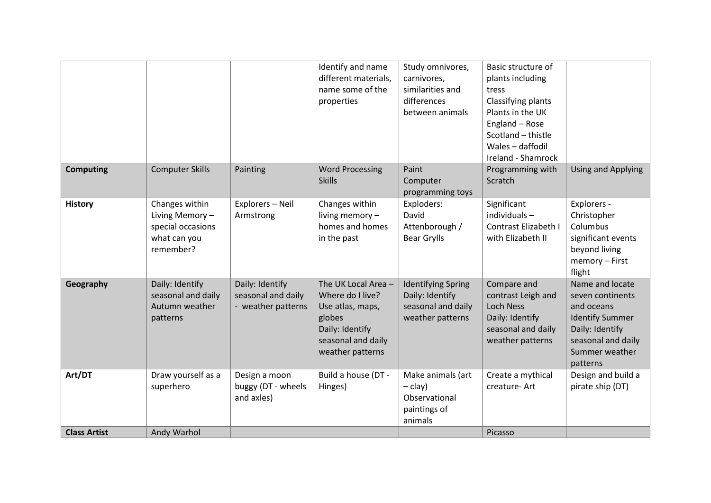|                     |                                                                                    |                                                             | Identify and name<br>different materials,<br>name some of the<br>properties                                                        | Study omnivores,<br>carnivores,<br>similarities and<br>differences<br>between animals  | Basic structure of<br>plants including<br>tress<br>Classifying plants<br>Plants in the UK<br>England - Rose<br>Scotland - thistle<br>Wales - daffodil<br>Ireland - Shamrock |                                                                                                                                                    |
|---------------------|------------------------------------------------------------------------------------|-------------------------------------------------------------|------------------------------------------------------------------------------------------------------------------------------------|----------------------------------------------------------------------------------------|-----------------------------------------------------------------------------------------------------------------------------------------------------------------------------|----------------------------------------------------------------------------------------------------------------------------------------------------|
| <b>Computing</b>    | <b>Computer Skills</b>                                                             | Painting                                                    | <b>Word Processing</b><br><b>Skills</b>                                                                                            | Paint<br>Computer<br>programming toys                                                  | Programming with<br>Scratch                                                                                                                                                 | <b>Using and Applying</b>                                                                                                                          |
| <b>History</b>      | Changes within<br>Living Memory-<br>special occasions<br>what can you<br>remember? | Explorers - Neil<br>Armstrong                               | Changes within<br>living memory -<br>homes and homes<br>in the past                                                                | Exploders:<br>David<br>Attenborough /<br><b>Bear Grylls</b>                            | Significant<br>individuals $-$<br>Contrast Elizabeth I<br>with Elizabeth II                                                                                                 | Explorers -<br>Christopher<br>Columbus<br>significant events<br>beyond living<br>memory - First<br>flight                                          |
| Geography           | Daily: Identify<br>seasonal and daily<br>Autumn weather<br>patterns                | Daily: Identify<br>seasonal and daily<br>- weather patterns | The UK Local Area -<br>Where do I live?<br>Use atlas, maps,<br>globes<br>Daily: Identify<br>seasonal and daily<br>weather patterns | <b>Identifying Spring</b><br>Daily: Identify<br>seasonal and daily<br>weather patterns | Compare and<br>contrast Leigh and<br><b>Loch Ness</b><br>Daily: Identify<br>seasonal and daily<br>weather patterns                                                          | Name and locate<br>seven continents<br>and oceans<br><b>Identify Summer</b><br>Daily: Identify<br>seasonal and daily<br>Summer weather<br>patterns |
| Art/DT              | Draw yourself as a<br>superhero                                                    | Design a moon<br>buggy (DT - wheels<br>and axles)           | Build a house (DT -<br>Hinges)                                                                                                     | Make animals (art<br>$-$ clay)<br>Observational<br>paintings of<br>animals             | Create a mythical<br>creature-Art                                                                                                                                           | Design and build a<br>pirate ship (DT)                                                                                                             |
| <b>Class Artist</b> | Andy Warhol                                                                        |                                                             |                                                                                                                                    |                                                                                        | Picasso                                                                                                                                                                     |                                                                                                                                                    |